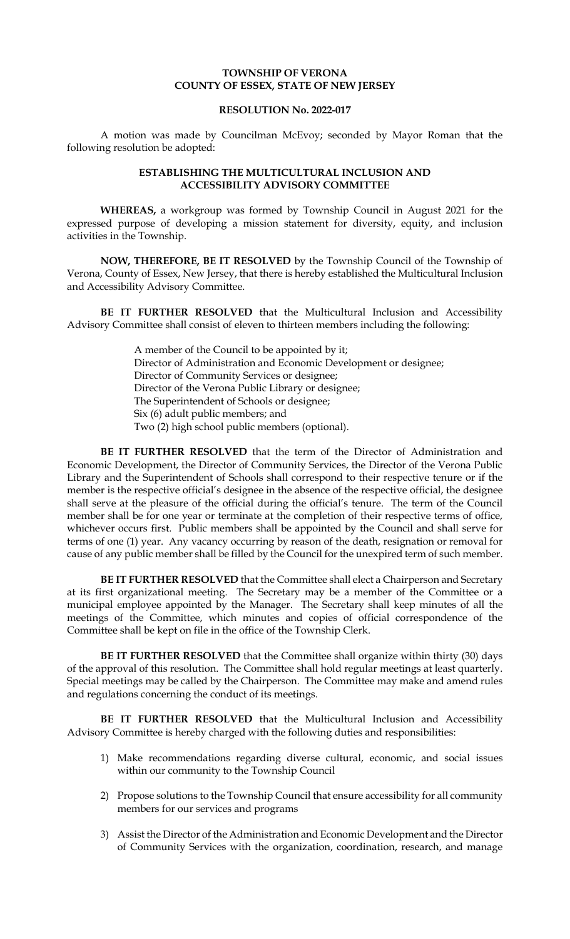## **TOWNSHIP OF VERONA COUNTY OF ESSEX, STATE OF NEW JERSEY**

## **RESOLUTION No. 2022-017**

A motion was made by Councilman McEvoy; seconded by Mayor Roman that the following resolution be adopted:

## **ESTABLISHING THE MULTICULTURAL INCLUSION AND ACCESSIBILITY ADVISORY COMMITTEE**

**WHEREAS,** a workgroup was formed by Township Council in August 2021 for the expressed purpose of developing a mission statement for diversity, equity, and inclusion activities in the Township.

**NOW, THEREFORE, BE IT RESOLVED** by the Township Council of the Township of Verona, County of Essex, New Jersey, that there is hereby established the Multicultural Inclusion and Accessibility Advisory Committee.

**BE IT FURTHER RESOLVED** that the Multicultural Inclusion and Accessibility Advisory Committee shall consist of eleven to thirteen members including the following:

> A member of the Council to be appointed by it; Director of Administration and Economic Development or designee; Director of Community Services or designee; Director of the Verona Public Library or designee; The Superintendent of Schools or designee; Six (6) adult public members; and Two (2) high school public members (optional).

**BE IT FURTHER RESOLVED** that the term of the Director of Administration and Economic Development, the Director of Community Services, the Director of the Verona Public Library and the Superintendent of Schools shall correspond to their respective tenure or if the member is the respective official's designee in the absence of the respective official, the designee shall serve at the pleasure of the official during the official's tenure. The term of the Council member shall be for one year or terminate at the completion of their respective terms of office, whichever occurs first. Public members shall be appointed by the Council and shall serve for terms of one (1) year. Any vacancy occurring by reason of the death, resignation or removal for cause of any public member shall be filled by the Council for the unexpired term of such member.

**BE IT FURTHER RESOLVED** that the Committee shall elect a Chairperson and Secretary at its first organizational meeting. The Secretary may be a member of the Committee or a municipal employee appointed by the Manager. The Secretary shall keep minutes of all the meetings of the Committee, which minutes and copies of official correspondence of the Committee shall be kept on file in the office of the Township Clerk.

**BE IT FURTHER RESOLVED** that the Committee shall organize within thirty (30) days of the approval of this resolution. The Committee shall hold regular meetings at least quarterly. Special meetings may be called by the Chairperson. The Committee may make and amend rules and regulations concerning the conduct of its meetings.

**BE IT FURTHER RESOLVED** that the Multicultural Inclusion and Accessibility Advisory Committee is hereby charged with the following duties and responsibilities:

- 1) Make recommendations regarding diverse cultural, economic, and social issues within our community to the Township Council
- 2) Propose solutions to the Township Council that ensure accessibility for all community members for our services and programs
- 3) Assist the Director of the Administration and Economic Development and the Director of Community Services with the organization, coordination, research, and manage